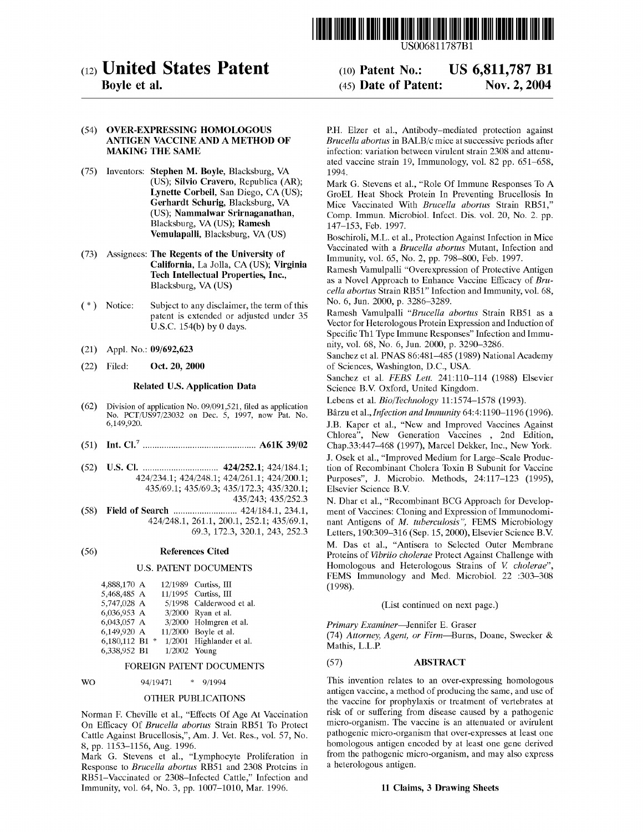

# (12) United States Patent

## Boyle et al.

#### (10) Patent N0.: (45) Date of Patent: US 6,811,787 B1 Nov. 2, 2004

## (54) OVER-EXPRESSING HOMOLOGOUS ANTIGEN VACCINE AND A METHOD OF MAKING THE SAME

- (75) Inventors: Stephen M. Boyle, Blacksburg, VA (US); Silvio Cravero, Republica (AR); Lynette Corbeil, San Diego, CA (US); Gerhardt Schurig, Blacksburg, VA (US); Nammalwar Srirnaganathan, Blacksburg, VA (US); Ramesh Vemulapalli, Blacksburg, VA (US)
- (73) Assignees: The Regents of the University of California, La Jolla, CA (US); Virginia Tech Intellectual Properties, Inc., Blacksburg, VA (US)
- ( \* ) Notice: Subject to any disclaimer, the term of this patent is extended or adjusted under 35 U.S.C. 154(b) by 0 days.
- (21) Appl. N0.: 09/692,623
- (22) Filed: Oct. 20, 2000

### Related US. Application Data

- (62) Division of application No. 09/091,521, filed as application No. PCT/US97/23032 on Dec. 5, 1997, now Pat. No. 6,149,920.
- (51) Int. Cl.7 ................................................ A61K 39/02
- (52) U.S.Cl. ................................ 424/252.1;424/184.1; 424/2341, 424/2481; 424/2611; 424/200.1; 435/691; 435/693; 435/1723, 435/320.1; 435/243; 435/252.3
- (58) Field of Search ........................... 424/184.1, 234.1, 424/2481, 261.1, 200.1, 252.1; 435/691, 69.3, 172.3, 320.1, 243, 252.3

#### (56) References Cited

#### U.S. PATENT DOCUMENTS

| 4,888,170 A  |   |                | 12/1989 Curtiss, III     |
|--------------|---|----------------|--------------------------|
| 5,468,485 A  |   |                | 11/1995 Curtiss, III     |
| 5,747,028 A  |   |                | 5/1998 Calderwood et al. |
| 6,036,953 A  |   |                | 3/2000 Ryan et al.       |
| 6,043,057 A  |   |                | 3/2000 Holmgren et al.   |
| 6,149,920 A  |   |                | 11/2000 Boyle et al.     |
| 6,180,112 B1 | 卡 |                | 1/2001 Highlander et al. |
| 6,338,952 B1 |   | $1/2002$ Young |                          |

#### FOREIGN PATENT DOCUMENTS

#### WO 94/19471 \* 9/1994

#### OTHER PUBLICATIONS

Norman F. Cheville et al., "Effects Of Age At Vaccination On Efficacy Of Brucella abortus Strain RB51 To Protect Cattle Against Brucellosis,", Am. J. Vet. Res., vol. 57, No. 8, pp. 1153—1156, Aug. 1996.

Mark G. Stevens et al., "Lymphocyte Proliferation in Response to Brucella abortus RB51 and 2308 Proteins in RB51—Vaccinated or 2308—Infected Cattle," Infection and Immunity, vol. 64, No. 3, pp. 1007—1010, Mar. 1996.

PH. Elzer et al., Antibody—mediated protection against Brucella abortus in BALB/c mice at successive periods after infection: variation between virulent strain 2308 and attenuated vaccine strain 19, Immunology, vol. 82 pp. 651—658, 1994.

Mark G. Stevens et al., "Role Of Immune Responses To A GroEL Heat Shock Protein In Preventing Brucellosis In Mice Vaccinated With Brucella abortus Strain RB51," Comp. Immun. Microbiol. Infect. Dis. vol. 20, No. 2. pp. 147—153, Feb. 1997.

Boschiroli, ML. et al., Protection Against Infection in Mice Vaccinated with a Brucella abortus Mutant, Infection and Immunity, vol. 65, No. 2, pp. 798—800, Feb. 1997.

Ramesh Vamulpalli "Overexpression of Protective Antigen as a Novel Approach to Enhance Vaccine Efficacy of Brucella abortus Strain RB51" Infection and Immunity, vol. 68, No. 6, Jun. 2000, p. 3286—3289.

Ramesh Vamulpalli "Brucella abortus Strain RB51 as <sup>a</sup> Vector for Heterologous Protein Expression and Induction of Specific Th1 Type Immune Responses" Infection and Immunity, vol. 68, No. 6, Jun. 2000, p. 3290—3286.

Sanchez et al. PNAS 86:481—485 (1989) National Academy of Sciences, Washington, DC, USA.

Sanchez et a1. FEBS Lett. 241:110—114 (1988) Elsevier Science B.V. Oxford, United Kingdom.

Lebens et a1. Bio/Technology 11:1574—1578 (1993).

Barzu et al.,Infection and Immunity 64:4:1190—1196 (1996). J.B. Kaper et al., "New and Improved Vaccines Against Chlorea", New Generation Vaccines , 2nd Edition, Chap.33:447—468 (1997), Marcel Dekker, Inc., New York. J. Osek et al., "Improved Medium for Large—Scale Production of Recombinant Cholera Toxin B Subunit for Vaccine Purposes", J. Microbio. Methods, 24:117—123 (1995), Elsevier Science B.V.

N. Dhar et al., "Recombinant BCG Approach for Development of Vaccines: Cloning and Expression of Immunodominant Antigens of M. tuberculosis", FEMS Microbiology Letters, 190:309—316 (Sep. 15, 2000), Elsevier Science B.V. M. Das et al., "Antisera to Selected Outer Membrane Proteins of Vibriio cholerae Protect Against Challenge with Homologous and Heterologous Strains of V. cholerae", FEMS Immunology and Med. Microbiol. 22 :303—308 (1998).

#### (List continued on next page.)

Primary Examiner—Jennifer E. Graser

(74) Attorney, Agent, or Firm—Burns, Doane, Swecker & Mathis, L.L.P.

### (57) ABSTRACT

This invention relates to an over-expressing homologous antigen vaccine, a method of producing the same, and use of the vaccine for prophylaxis or treatment of vertebrates at risk of or suffering from disease caused by a pathogenic micro-organism. The vaccine is an attenuated or avirulent pathogenic micro-organism that over-expresses at least one homologous antigen encoded by at least one gene derived from the pathogenic micro-organism, and may also express a heterologous antigen.

#### 11 Claims, 3 Drawing Sheets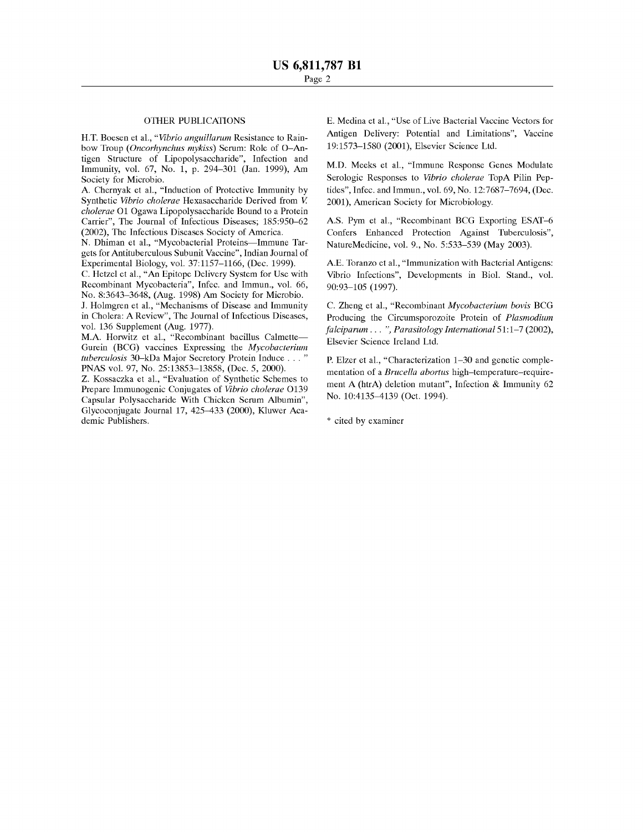## OTHER PUBLICATIONS

H.T. Boesen et al., "Vibrio angaillaram Resistance to Rainbow Troup (Oncorhynchas mykiss) Serum: Role of O—Antigen Structure of Lipopolysaccharide", Infection and Immunity, vol. 67, No. 1, p. 294—301 (Jan. 1999), Am Society for Microbio.

A. Chernyak et al., "Induction of Protective Immunity by Synthetic Vibrio cholerae Hexasaccharide Derived from V. cholerae Ol Ogawa Lipopolysaccharide Bound to <sup>a</sup> Protein Carrier", The Journal of Infectious Diseases; 185:950—62 (2002), The Infectious Diseases Society of America.

N. Dhiman et al., "Mycobacterial Proteins—Immune Targets for Antituberculous Subunit Vaccine", Indian Journal of Experimental Biology, vol. 37:1157—1166, (Dec. 1999).

C. Hetzel et al., "An Epitope Delivery System for Use With Recombinant Mycobacteria", Infec. and Immun., vol. 66, No. 8:3643—3648, (Aug. 1998) Am Society for Microbio. J. Holmgren et al., "Mechanisms of Disease and Immunity in Cholera: A Review", The Journal of Infectious Diseases, vol. 136 Supplement (Aug. 1977).

MA. Horwitz et al., "Recombinant bacillus Calmette— Gurein (BCG) vaccines Expressing the Mycobacteriam tuberculosis 30—kDa Major Secretory Protein Induce . . . " PNAS vol. 97, No. 25:13853—13858, (Dec. 5, 2000).

Z. Kossaczka et al., "Evaluation of Synthetic Schemes to Prepare Immunogenic Conjugates of Vibrio cholerae O139 Capsular Polysaccharide With Chicken Serum Albumin", Glycoconjugate Journal 17, 425—433 (2000), Kluwer Academic Publishers.

E. Medina et al., "Use of Live Bacterial Vaccine Vectors for Antigen Delivery: Potential and Limitations", Vaccine 19:1573—1580 (2001), Elsevier Science Ltd.

M.D. Meeks et al., "Immune Response Genes Modulate Serologic Responses to Vibrio cholerae TopA Pilin Peptides", Infec. and Immun., vol. 69, No. 12:7687—7694, (Dec. 2001), American Society for Microbiology.

A.S. Pym et al., "Recombinant BCG Exporting ESAT—6 Confers Enhanced Protection Against Tuberculosis", NatureMedicine, vol. 9., No. 5:533—539 (May 2003).

A.E. Toranzo et al., "Immunization with Bacterial Antigens: Vibrio Infections", Developments in Biol. Stand., vol. 90:93—105 (1997).

C. Zheng et al., "Recombinant Mycobacteriam bovis BCG Producing the Circumsporozoite Protein of Plasmodium falciparum . . . ", Parasitology International 51:1-7 (2002), Elsevier Science Ireland Ltd.

P. Elzer et al., "Characterization 1—30 and genetic complementation of a *Brucella abortus* high-temperature-requirement A (htrA) deletion mutant", Infection & Immunity <sup>62</sup> No. 10:4135—4139 (Oct. 1994).

\* cited by examiner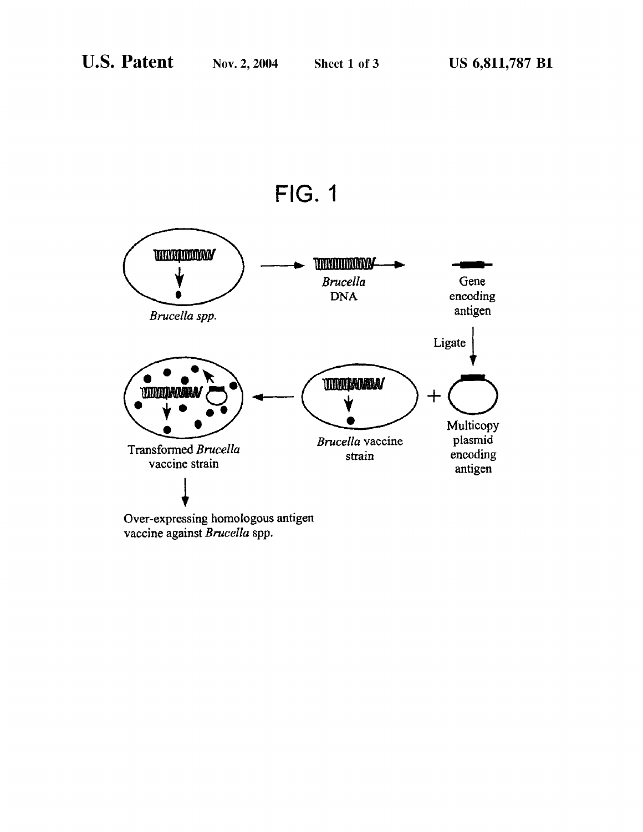



 $\overrightarrow{O}$ <br>Over-expressing homologous antivaccine against *Brucella* spp. Over-expressing homologous antigen vaccine against Brucella spp.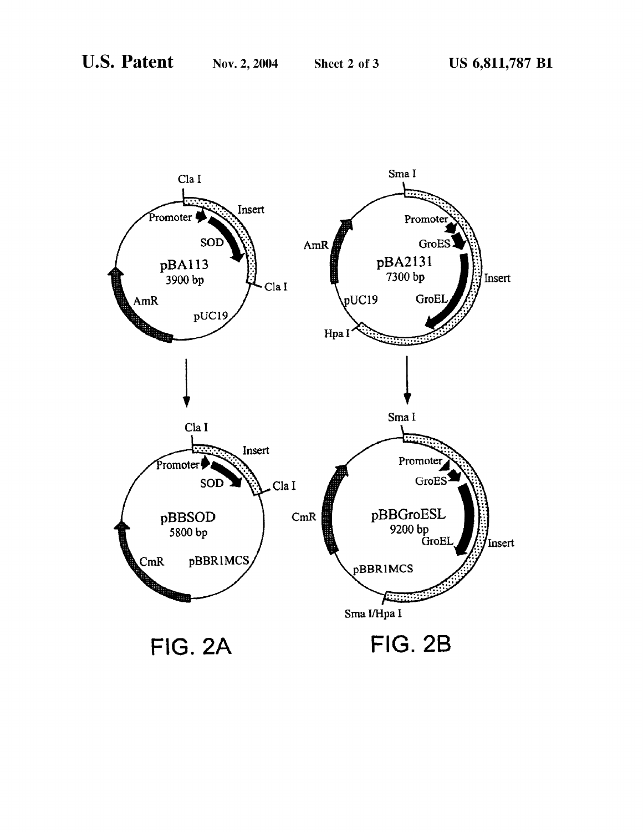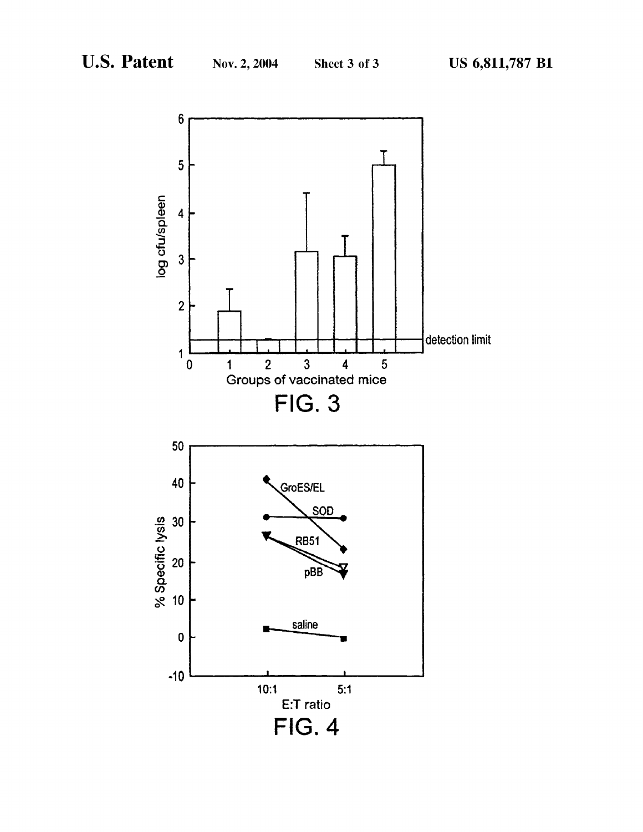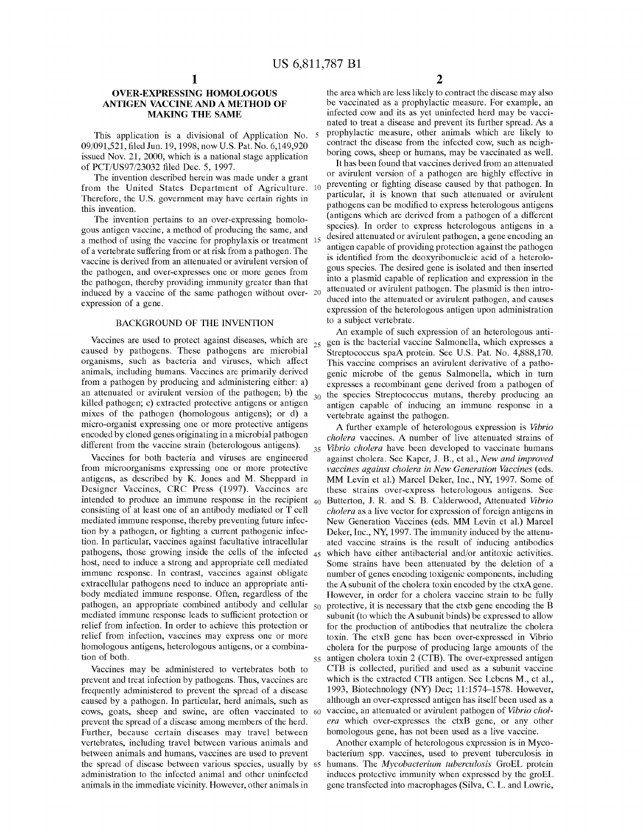30

## OVER-EXPRESSING HOMOLOGOUS ANTIGEN VACCINE AND A METHOD OF MAKING THE SAME

This application is a divisional of Application No. 09/091,521, filed Jun. 19, 1998, now U.S. Pat. No. 6,149,920 issued Nov. 21, 2000, which is a national stage application of PCT/US97/23032 filed Dec. 5, 1997.

The invention described herein was made under a grant from the United States Department of Agriculture. 10 Therefore, the U.S. government may have certain rights in this invention.

The invention pertains to an over-expressing homologous antigen vaccine, a method of producing the same, and a method of using the vaccine for prophylaxis or treatment 15 of a vertebrate suffering from or at risk from a pathogen. The vaccine is derived from an attenuated or avirulent version of the pathogen, and over-expresses one or more genes from the pathogen, thereby providing immunity greater than that induced by a vaccine of the same pathogen without over-20 expression of a gene.

## BACKGROUND OF THE INVENTION

Vaccines are used to protect against diseases, which are  $_{25}$ caused by pathogens. These pathogens are microbial organisms, such as bacteria and viruses, which affect animals, including humans. Vaccines are primarily derived from a pathogen by producing and administering either: a) an attenuated or avirulent version of the pathogen; b) the killed pathogen; c) extracted protective antigens or antigen mixes of the pathogen (homologous antigens); or d) a micro-organist expressing one or more protective antigens encoded by cloned genes originating in a microbial pathogen different from the vaccine strain (heterologous antigens).

Vaccines for both bacteria and viruses are engineered from microorganisms expressing one or more protective antigens, as described by K. Jones and M. Sheppard in Designer Vaccines, CRC Press (1997). Vaccines are intended to produce an immune response in the recipient <sub>40</sub> Butterton, J. R. and S. B. Calderwood, Attenuated Vibrio consisting of at least one of an antibody mediated or T cell mediated immune response, thereby preventing future infection by a pathogen, or fighting a current pathogenic infection. In particular, vaccines against facultative intracellular pathogens, those growing inside the cells of the infected  $_{45}$ host, need to induce a strong and appropriate cell mediated immune response. In contrast, vaccines against obligate extracellular pathogens need to induce an appropriate antibody mediated immune response. Often, regardless of the pathogen, an appropriate combined antibody and cellular 50 mediated immune response leads to sufficient protection or relief from infection. In order to achieve this protection or relief from infection, vaccines may express one or more homologous antigens, heterologous antigens, or a combination of both.

Vaccines may be administered to vertebrates both to prevent and treat infection by pathogens. Thus, vaccines are frequently administered to prevent the spread of a disease caused by a pathogen. In particular, herd animals, such as cows, goats, sheep and swine, are often vaccinated to 60 prevent the spread of a disease among members of the herd. Further, because certain diseases may travel between vertebrates, including travel between various animals and between animals and humans, vaccines are used to prevent the spread of disease between various species, usually by 65 administration to the infected animal and other uninfected animals in the immediate vicinity. However, other animals in

2

the area which are less likely to contract the disease may also be vaccinated as a prophylactic measure. For example, an infected cow and its as yet uninfected herd may be vaccinated to treat <sup>a</sup> disease and prevent its further spread. As <sup>a</sup> prophylactic measure, other animals which are likely to contract the disease from the infected cow, such as neighboring cows, sheep or humans, may be vaccinated as well.

It has been found that vaccines derived from an attenuated or avirulent version of a pathogen are highly effective in preventing or fighting disease caused by that pathogen. In particular, it is known that such attenuated or avirulent pathogens can be modified to express heterologous antigens (antigens which are derived from a pathogen of a different species). In order to express heterologous antigens in a desired attenuated or avirulent pathogen, a gene encoding an antigen capable of providing protection against the pathogen is identified from the deoxyribonucleic acid of a heterologous species. The desired gene is isolated and then inserted into a plasmid capable of replication and expression in the attenuated or avirulent pathogen. The plasmid is then introduced into the attenuated or avirulent pathogen, and causes expression of the heterologous antigen upon administration to a subject vertebrate.

An example of such expression of an heterologous antigen is the bacterial vaccine Salmonella, which expresses a Streptococcus spaA protein. See US. Pat. No. 4,888,170. This vaccine comprises an avirulent derivative of a pathogenic microbe of the genus Salmonella, which in turn expresses a recombinant gene derived from a pathogen of the species Streptococcus mutans, thereby producing an antigen capable of inducing an immune response in <sup>a</sup> vertebrate against the pathogen.

35 Vibrio cholera have been developed to vaccinate humans 55 antigen cholera toxin 2 (CTB). The over-expressed antigen A further example of heterologous expression is Vibrio cholera vaccines. A number of live attenuated strains of against cholera. See Kaper, J. B., et al., New and improved vaccines against cholera in New Generation Vaccines (eds. MM Levin et al.) Marcel Deker, Inc., NY, 1997. Some of these strains over-express heterologous antigens. See cholera as a live vector for expression of foreign antigens in New Generation Vaccines (eds. MM Levin et al.) Marcel Deker, Inc., NY, 1997. The immunity induced by the attenuated vaccine strains is the result of inducing antibodies which have either antibacterial and/or antitoxic activities. Some strains have been attenuated by the deletion of <sup>a</sup> number of genes encoding toxigenic components, including the Asubunit of the cholera toxin encoded by the ctxA gene. However, in order for a cholera vaccine strain to be fully protective, it is necessary that the ctxb gene encoding the B subunit (to which the A subunit binds) be expressed to allow for the production of antibodies that neutralize the cholera toxin. The ctxB gene has been over-expressed in Vibrio cholera for the purpose of producing large amounts of the CTB is collected, purified and used as <sup>a</sup> subunit vaccine which is the extracted CTB antigen. See Lebens M., et al., 1993, Biotechnology (NY) Dec; 11:1574—1578. However, although an over-expressed antigen has itself been used as a vaccine, an attenuated or avirulent pathogen of Vibrio cholera which over-expresses the ctxB gene, or any other homologous gene, has not been used as a live vaccine.

Another example of heterologous expression is in Mycobacterium spp. vaccines, used to prevent tuberculosis in humans. The Mycobacterium tuberculosis GroEL protein induces protective immunity when expressed by the groEL gene transfected into macrophages (Silva, C. L. and Lowrie,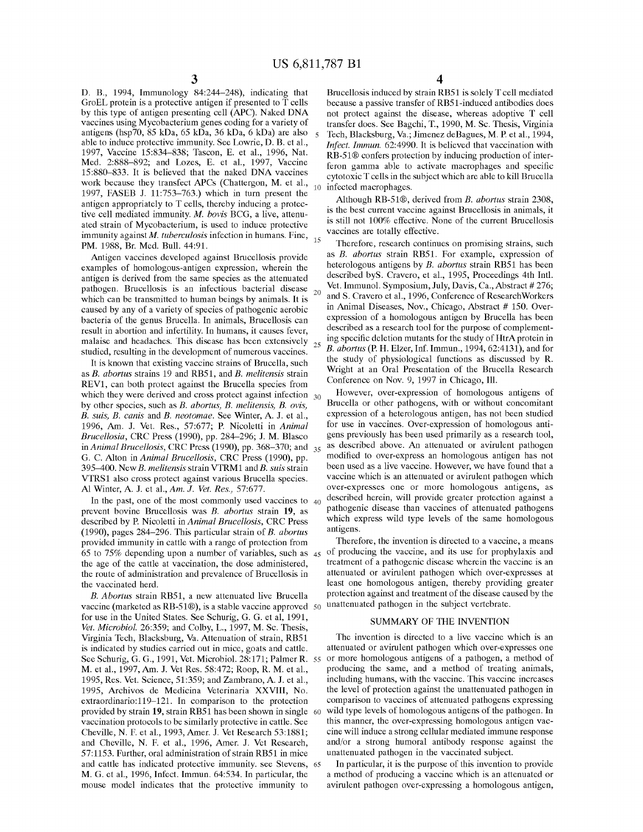D. B., 1994, Immunology 842244—248), indicating that GroEL protein is a protective antigen if presented to  $\overline{T}$  cells by this type of antigen presenting cell (APC). Naked DNA vaccines using Mycobacterium genes coding for a variety of antigens (hsp70, 85 kDa, 65 kDa, 36 kDa, 6 kDa) are also able to induce protective immunity. See Lowrie, D. B. et al., 1997, Vaccine 15:834-838; Tascon, E. et al., 1996, Nat. Med. 22888—892; and Lozes, E. et al., 1997, Vaccine 152880—833. It is believed that the naked DNA vaccines work because they transfect APCs (Chattergon, M. et al., 1997, FASEB J. 11:753–763.) which in turn present the antigen appropriately to T cells, thereby inducing <sup>a</sup> protective cell mediated immunity. M. bovis BCG, <sup>a</sup> live, attenuated strain of Mycobacterium, is used to induce protective immunity against *M. tuberculosis* infection in humans. Fine,  $_{15}$ PM. 1988, Br. Med. Bull. 44:91. 10

Antigen vaccines developed against Brucellosis provide examples of homologous-antigen expression, wherein the antigen is derived from the same species as the attenuated pathogen. Brucellosis is an infectious bacterial disease which can be transmitted to human beings by animals. It is caused by any of a variety of species of pathogenic aerobic bacteria of the genus Brucella. In animals, Brucellosis can result in abortion and infertility. In humans, it causes fever, malaise and headaches. This disease has been extensively  $_{25}$ studied, resulting in the development of numerous vaccines. 20

It is known that existing vaccine strains of Brucella, such as B. abortus strains 19 and RB51, and B. melitensis strain REV1, can both protect against the Brucella species from which they were derived and cross protect against infection  $_{30}$ by other species, such as B. abortus, B. melitensis, B. ovis, B. suis, B. canis and B. neotomae. See Winter, A. J. et al., 1996, Am. J. Vet. Res., 57:677; P. Nicoletti in Animal Bracellosia, CRC Press (1990), pp. 284—296; J. M. Blasco in Animal Brucellosis, CRC Press (1990), pp. 368–370; and  $_{35}$ G. C. Alton in Animal Brucellosis, CRC Press (1990), pp. 395–400. New *B. melitensis* strain VTRM1 and *B. suis* strain VTRS1 also cross protect against various Brucella species. Al Winter, A. J. et al., Am. J. Vet. Res., 57:677.

In the past, one of the most commonly used vaccines to  $_{40}$ prevent bovine Brucellosis was B. abortus strain 19, as described by P. Nicoletti in Animal Brucellosis, CRC Press (1990), pages 284—296. This particular strain of B. abortas provided immunity in cattle with a range of protection from 65 to 75% depending upon <sup>a</sup> number of variables, such as 45 the age of the cattle at vaccination, the dose administered, the route of administration and prevalence of Brucellosis in the vaccinated herd.

B. Abortus strain RB51, a new attenuated live Brucella vaccine (marketed as RB-51®), is a stable vaccine approved 50 for use in the United States. See Schurig, G. G. et al, 1991, Vet. Microbiol. 26:359; and Colby, L., 1997, M. Sc. Thesis, Virginia Tech, Blacksburg, Va. Attenuation of strain, RB51 is indicated by studies carried out in mice, goats and cattle. See Schurig, G. G., 1991, Vet. Microbiol.  $28:171$ : Palmer R. 55 M. et al., 1997, Am. J. Vet Res. 58:472; Roop, R. M. et al., 1995, Res. Vet. Science, 512359; and Zambrano, A. J. et al., 1995, Archivos de Medicina Veterinaria XXVIII, No. extraordinario:119–121. In comparison to the protection provided by strain 19, strain RB51 has been shown in single 60 vaccination protocols to be similarly protective in cattle. See Cheville, N. F. et al., 1993, Amer. J. Vet Research 53:1881; and Cheville, N. F. et al., 1996, Amer. J. Vet Research, 57:1153. Further, oral administration of strain RB51 in mice and cattle has indicated protective immunity. see Stevens, 65 M. G. et al., 1996, Infect. Immun. 64:534. In particular, the mouse model indicates that the protective immunity to

4

Brucellosis induced by strain RB51 is solely T cell mediated because a passive transfer of RB51-induced antibodies does not protect against the disease, whereas adoptive T cell transfer does. See Bagchi, T., 1990, M. Sc. Thesis, Virginia Tech, Blacksburg, Va.; Jimenez deBagues, M. P. et al., 1994, Infect. Immun. 62:4990. It is believed that vaccination with RB-51® confers protection by inducing production of interferon gamma able to activate macrophages and specific cytotoxic T cells in the subject which are able to kill Brucella infected macrophages.

Although RB-51®, derived from B. abortus strain 2308, is the best current vaccine against Brucellosis in animals, it is still not 100% effective. None of the current Brucellosis vaccines are totally effective.

Therefore, research continues on promising strains, such as B. abortas strain RB51. For example, expression of heterologous antigens by B. abortus strain RB51 has been described byS. Cravero, et al., 1995, Proceedings 4th Intl. Vet. Immunol. Symposium, July, Davis, Ca., Abstract # 276; and S. Cravero et al., 1996, Conference of ResearchWorkers in Animal Diseases, Nov., Chicago, Abstract # 150. Overexpression of a homologous antigen by Brucella has been described as a research tool for the purpose of complementing specific deletion mutants for the study of HtrA protein in B. *abortus* (P. H. Elzer, Inf. Immun., 1994, 62:4131), and for the study of physiological functions as discussed by R. Wright at an Oral Presentation of the Brucella Research Conference on Nov. 9, 1997 in Chicago, Ill.

However, over-expression of homologous antigens of Brucella or other pathogens, with or without concomitant expression of a heterologous antigen, has not been studied for use in vaccines. Over-expression of homologous antigens previously has been used primarily as a research tool, as described above. An attenuated or avirulent pathogen modified to over-express an homologous antigen has not been used as <sup>a</sup> live vaccine. However, we have found that <sup>a</sup> vaccine which is an attenuated or avirulent pathogen which over-expresses one or more homologous antigens, as described herein, will provide greater protection against a pathogenic disease than vaccines of attenuated pathogens which express wild type levels of the same homologous antigens.

Therefore, the invention is directed to a vaccine, a means of producing the vaccine, and its use for prophylaxis and treatment of a pathogenic disease wherein the vaccine is an attenuated or avirulent pathogen which over-expresses at least one homologous antigen, thereby providing greater protection against and treatment of the disease caused by the unattenuated pathogen in the subject vertebrate.

#### SUMMARY OF THE INVENTION

The invention is directed to a live vaccine which is an attenuated or avirulent pathogen which over-expresses one or more homologous antigens of a pathogen, a method of producing the same, and a method of treating animals, including humans, with the vaccine. This vaccine increases the level of protection against the unattenuated pathogen in comparison to vaccines of attenuated pathogens expressing wild type levels of homologous antigens of the pathogen. In this manner, the over-expressing homologous antigen vaccine will induce <sup>a</sup> strong cellular mediated immune response and/or a strong humoral antibody response against the unattenuated pathogen in the vaccinated subject.

In particular, it is the purpose of this invention to provide a method of producing a vaccine which is an attenuated or avirulent pathogen over-expressing a homologous antigen,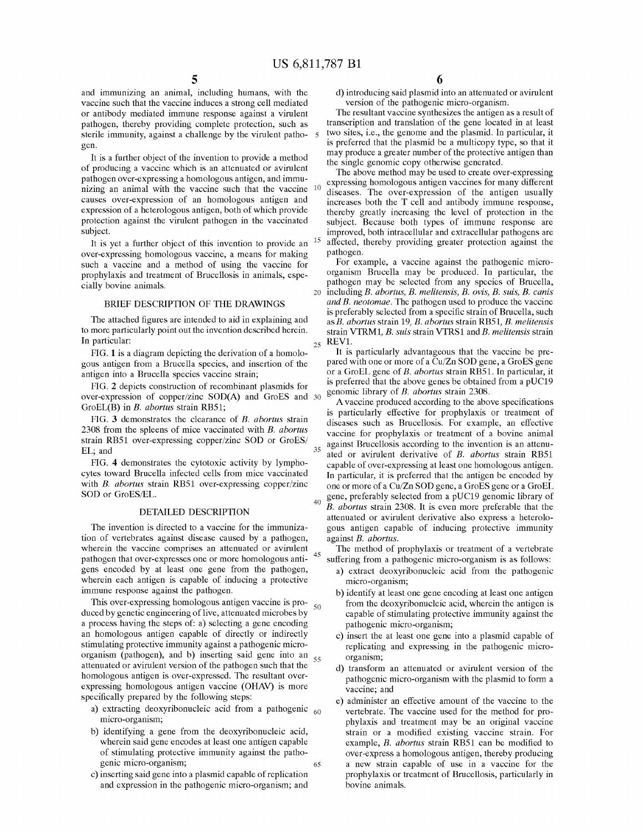25

35

40

45

and immunizing an animal, including humans, with the vaccine such that the vaccine induces a strong cell mediated or antibody mediated immune response against a virulent pathogen, thereby providing complete protection, such as sterile immunity, against a challenge by the virulent patho- 5 gen.

It is a further object of the invention to provide a method of producing a vaccine which is an attenuated or avirulent pathogen over-expressing a homologous antigen, and immunizing an animal with the vaccine such that the vaccine 10 causes over-expression of an homologous antigen and expression of a heterologous antigen, both of which provide protection against the virulent pathogen in the vaccinated subject.

It is yet a further object of this invention to provide an  $15$ over-expressing homologous vaccine, a means for making such a vaccine and a method of using the vaccine for prophylaxis and treatment of Brucellosis in animals, especially bovine animals.

## BRIEF DESCRIPTION OF THE DRAWINGS

The attached figures are intended to aid in explaining and to more particularly point out the invention described herein. In particular:

FIG. 1 is a diagram depicting the derivation of a homologous antigen from a Brucella species, and insertion of the antigen into a Brucella species vaccine strain;

FIG. 2 depicts construction of recombinant plasmids for over-expression of copper/zinc SOD(A) and GroES and 30 GroEL(B) in B. abortus strain RB51;

FIG. 3 demonstrates the clearance of B. abortus strain 2308 from the spleens of mice vaccinated with B. abortus strain RB51 over-expressing copper/zinc SOD or GroES/ EL; and

FIG. 4 demonstrates the cytotoxic activity by lymphocytes toward Brucella infected cells from mice vaccinated with *B. abortus* strain RB51 over-expressing copper/zinc SOD or GroES/EL.

#### DETAILED DESCRIPTION

The invention is directed to a vaccine for the immunization of vertebrates against disease caused by a pathogen, wherein the vaccine comprises an attenuated or avirulent pathogen that over-expresses one or more homologous antigens encoded by at least one gene from the pathogen, wherein each antigen is capable of inducing a protective immune response against the pathogen.

This over-expressing homologous antigen vaccine is produced by genetic engineering of live, attenuated microbes by a process having the steps of: a) selecting a gene encoding an homologous antigen capable of directly or indirectly stimulating protective immunity against a pathogenic microorganism (pathogen), and b) inserting said gene into an attenuated or avirulent version of the pathogen such that the homologous antigen is over-expressed. The resultant overexpressing homologous antigen vaccine (OHAV) is more specifically prepared by the following steps: 55

- a) extracting deoxyribonucleic acid from a pathogenic 60 micro-organism;
- b) identifying a gene from the deoxyribonucleic acid, wherein said gene encodes at least one antigen capable of stimulating protective immunity against the pathogenic micro-organism;
- c) inserting said gene into a plasmid capable of replication and expression in the pathogenic micro-organism; and

d) introducing said plasmid into an attenuated or avirulent version of the pathogenic micro-organism.

The resultant vaccine synthesizes the antigen as a result of transcription and translation of the gene located in at least two sites, i.e., the genome and the plasmid. In particular, it is preferred that the plasmid be a multicopy type, so that it may produce <sup>a</sup> greater number of the protective antigen than the single genomic copy otherwise generated.

The above method may be used to create over-expressing expressing homologous antigen vaccines for many different diseases. The over-expression of the antigen usually increases both the T cell and antibody immune response, thereby greatly increasing the level of protection in the subject. Because both types of immune response are improved, both intracellular and extracellular pathogens are affected, thereby providing greater protection against the pathogen.

20 including B. abortus, B. melitensis, B. ovis, B. suis, B. canis For example, a vaccine against the pathogenic microorganism Brucella may be produced. In particular, the pathogen may be selected from any species of Brucella, and B. neotomae. The pathogen used to produce the vaccine is preferably selected from a specific strain of Brucella, such as B. abortus strain 19, B. abortus strain RB51, B. melitensis strain VTRM1, B. suis strain VTRS1 and B. melitensis strain REV1.

It is particularly advantageous that the vaccine be prepared with one or more of <sup>a</sup> Cu/Zn SOD gene, <sup>a</sup> GroES gene or <sup>a</sup> GroEL gene of B. abortus strain RB51. In particular, it is preferred that the above genes be obtained from <sup>a</sup> pUC19 genomic library of B. abortus strain 2308.

Avaccine produced according to the above specifications is particularly effective for prophylaxis or treatment of diseases such as Brucellosis. For example, an effective vaccine for prophylaxis or treatment of a bovine animal against Brucellosis according to the invention is an attenuated or avirulent derivative of B. abortus strain RB51 capable of over-expressing at least one homologous antigen. In particular, it is preferred that the antigen be encoded by one or more of <sup>a</sup> Cu/Zn SOD gene, <sup>a</sup> GroES gene or <sup>a</sup> GroEL gene, preferably selected from <sup>a</sup> pUC19 genomic library of B. abortus strain 2308. It is even more preferable that the attenuated or avirulent derivative also express a heterologous antigen capable of inducing protective immunity against B. abortus.

The method of prophylaxis or treatment of a vertebrate suffering from a pathogenic micro-organism is as follows:

- a) extract deoxyribonucleic acid from the pathogenic micro-organism;
- b) identify at least one gene encoding at least one antigen from the deoxyribonucleic acid, wherein the antigen is capable of stimulating protective immunity against the pathogenic micro-organism;
- c) insert the at least one gene into a plasmid capable of replicating and expressing in the pathogenic microorganism;
- d) transform an attenuated or avirulent version of the pathogenic micro-organism with the plasmid to form a vaccine; and
- e) administer an effective amount of the vaccine to the vertebrate. The vaccine used for the method for prophylaxis and treatment may be an original vaccine strain or a modified existing vaccine strain. For example, *B. abortus* strain RB51 can be modified to over-express a homologous antigen, thereby producing <sup>a</sup> new strain capable of use in <sup>a</sup> vaccine for the prophylaxis or treatment of Brucellosis, particularly in bovine animals.

65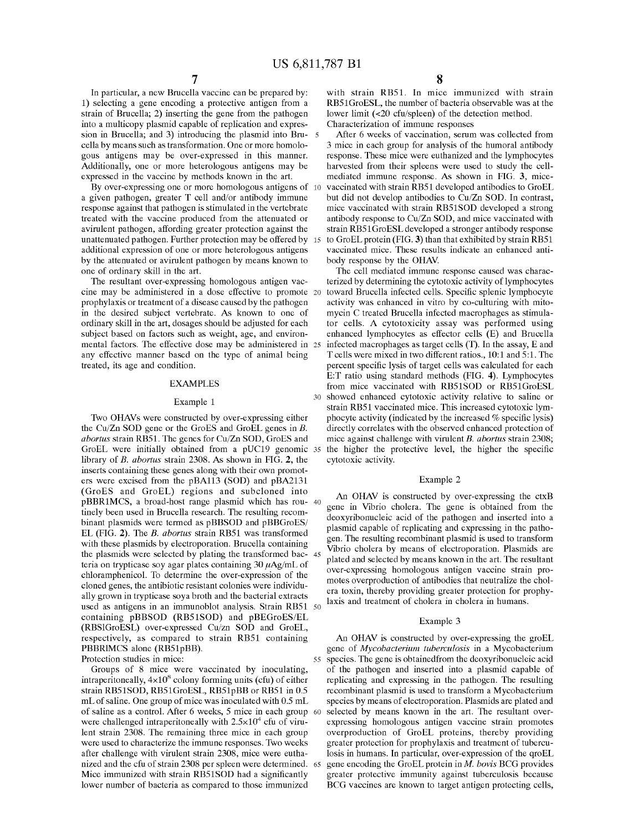In particular, <sup>a</sup> new Brucella vaccine can be prepared by: 1) selecting a gene encoding a protective antigen from a strain of Brucella; 2) inserting the gene from the pathogen into a multicopy plasmid capable of replication and expression in Brucella; and 3) introducing the plasmid into Bru- 5 cella by means such as transformation. One or more homologous antigens may be over-expressed in this manner. Additionally, one or more heterologous antigens may be expressed in the vaccine by methods known in the art.

By over-expressing one or more homologous antigens of 10 <sup>a</sup> given pathogen, greater T cell and/or antibody immune response against that pathogen is stimulated in the vertebrate treated with the vaccine produced from the attenuated or avirulent pathogen, affording greater protection against the unattenuated pathogen. Further protection may be offered by 15 additional expression of one or more heterologous antigens by the attenuated or avirulent pathogen by means known to one of ordinary skill in the art.

The resultant over-expressing homologous antigen vaccine may be administered in <sup>a</sup> dose effective to promote 20 prophylaxis or treatment of a disease caused by the pathogen in the desired subject vertebrate. As known to one of ordinary skill in the art, dosages should be adjusted for each subject based on factors such as weight, age, and environmental factors. The effective dose may be administered in 25 any effective manner based on the type of animal being treated, its age and condition.

#### EXAMPLES

#### Example 1

Two OHAVs were constructed by over-expressing either the Cu/Zn SOD gene or the GroES and GroEL genes in B. abortus strain RB51. The genes for Cu/Zn SOD, GroES and GroEL were initially obtained from <sup>a</sup> pUC19 genomic 35 library of B. abortus strain 2308. As shown in FIG. 2, the inserts containing these genes along with their own promoters were excised from the pBA113 (SOD) and pBA2131 (GroES and GroEL) regions and subcloned into pBBR1MCS, <sup>a</sup> broad-host range plasmid which has rou-40 tinely been used in Brucella research. The resulting recombinant plasmids were termed as pBBSOD and pBBGroES/ EL (FIG. 2). The B. abortus strain RB51 was transformed with these plasmids by electroporation. Brucella containing the plasmids were selected by plating the transformed bac-45 teria on trypticase soy agar plates containing  $30 \mu\text{Ag/mL}$  of chloramphenicol. To determine the over-expression of the cloned genes, the antibiotic resistant colonies were individually grown in trypticase soya broth and the bacterial extracts used as antigens in an immunoblot analysis. Strain RB51 50 containing pBBSOD (RB51SOD) and pBEGroES/EL (RBSlGroESL) over-expressed Cu/zn SOD and GroEL, respectively, as compared to strain RB51 containing PBBRlMCS alone (RB51pBB). Protection studies in mice:

Groups of 8 mice were vaccinated by inoculating, intraperitoneally,  $4\times10^8$  colony forming units (cfu) of either strain RB51SOD, RB51GroESL, RB51pBB or RB51 in 0.5 mL of saline. One group of mice was inoculated with 0.5 mL of saline as a control. After 6 weeks, 5 mice in each group 60 were challenged intraperitoneally with  $2.5 \times 10^4$  cfu of virulent strain 2308. The remaining three mice in each group were used to characterize the immune responses. Two weeks after challenge with virulent strain 2308, mice were euthanized and the cfu of strain 2308 per spleen were determined. 65 Mice immunized with strain RB51SOD had <sup>a</sup> significantly lower number of bacteria as compared to those immunized

with strain RB51. In mice immunized with strain RB51GroESL, the number of bacteria observable was at the lower limit (<20 cfu/spleen) of the detection method. Characterization of immune responses

After 6 weeks of vaccination, serum was collected from 3 mice in each group for analysis of the humoral antibody response. These mice were euthanized and the lymphocytes harvested from their spleens were used to study the cellmediated immune response. As shown in FIG. 3, micevaccinated with strain RB51 developed antibodies to GroEL but did not develop antibodies to Cu/Zn SOD. In contrast, mice vaccinated with strain RB51SOD developed <sup>a</sup> strong antibody response to Cu/Zn SOD, and mice vaccinated with strain RB51GroESL developed <sup>a</sup> stronger antibody response to GroEL protein (FIG. 3) than that exhibited by strain RB51 vaccinated mice. These results indicate an enhanced antibody response by the OHAV.

30 showed enhanced cytotoxic activity relative to saline or The cell mediated immune response caused was characterized by determining the cytotoxic activity of lymphocytes toward Brucella infected cells. Specific splenic lymphocyte activity was enhanced in vitro by co-culturing with mitomycin C treated Brucella infected macrophages as stimulator cells. A cytotoxicity assay was performed using enhanced lymphocytes as effector cells (E) and Brucella infected macrophages as target cells (T). In the assay, E and T cells were mixed in two different ratios., 10:1 and 5:1. The percent specific lysis of target cells was calculated for each E:T ratio using standard methods (FIG. 4). Lymphocytes from mice vaccinated with RB51SOD or RB51GroESL strain RB51 vaccinated mice. This increased cytotoxic lymphocyte activity (indicated by the increased % specific lysis) directly correlates with the observed enhanced protection of mice against challenge with virulent B. abortus strain 2308; the higher the protective level, the higher the specific cytotoxic activity.

#### Example 2

An OHAV is constructed by over-expressing the ctxB gene in Vibrio cholera. The gene is obtained from the deoxyribonucleic acid of the pathogen and inserted into a plasmid capable of replicating and expressing in the pathogen. The resulting recombinant plasmid is used to transform Vibrio cholera by means of electroporation. Plasmids are plated and selected by means known in the art. The resultant over-expressing homologous antigen vaccine strain promotes overproduction of antibodies that neutralize the cholera toxin, thereby providing greater protection for prophylaxis and treatment of cholera in cholera in humans.

#### Example 3

55 An OHAV is constructed by over-expressing the groEL gene of Mycobacterium tuberculosis in a Mycobacterium species. The gene is obtainedfrom the deoxyribonucleic acid of the pathogen and inserted into a plasmid capable of replicating and expressing in the pathogen. The resulting recombinant plasmid is used to transform a Mycobacterium species by means of electroporation. Plasmids are plated and selected by means known in the art. The resultant overexpressing homologous antigen vaccine strain promotes overproduction of GroEL proteins, thereby providing greater protection for prophylaxis and treatment of tuberculosis in humans. In particular, over-expression of the qroEL gene encoding the GroEL protein in M. bovis BCG provides greater protective immunity against tuberculosis because BCG vaccines are known to target antigen protecting cells,